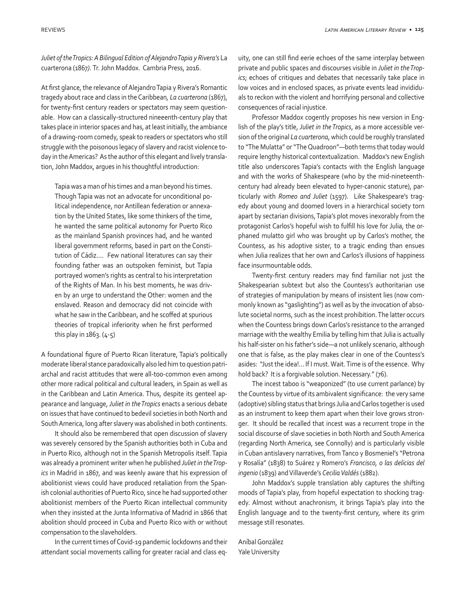*Juliet of the Tropics: A Bilingual Edition of Alejandro Tapia y Rivera's* La cuarterona (1867*).* Tr. John Maddox. Cambria Press, 2016.

At first glance, the relevance of Alejandro Tapia y Rivera's Romantic tragedy about race and class in the Caribbean*, La cuarterona* (1867), for twenty-first century readers or spectators may seem questionable. How can a classically-structured nineeenth-century play that takes place in interior spaces and has, at least initially, the ambiance of a drawing-room comedy, speak to readers or spectators who still struggle with the poisonous legacy of slavery and racist violence today in the Americas? As the author of this elegant and lively translation, John Maddox, argues in his thoughtful introduction:

Tapia was a man of his times and a man beyond his times. Though Tapia was not an advocate for unconditional political independence, nor Antillean federation or annexation by the United States, like some thinkers of the time, he wanted the same political autonomy for Puerto Rico as the mainland Spanish provinces had, and he wanted liberal government reforms, based in part on the Constitution of Cádiz.... Few national literatures can say their founding father was an outspoken feminist, but Tapia portrayed women's rights as central to his interpretation of the Rights of Man. In his best moments, he was driven by an urge to understand the Other: women and the enslaved. Reason and democracy did not coincide with what he saw in the Caribbean, and he scoffed at spurious theories of tropical inferiority when he first performed this play in 1863. (4-5)

A foundational figure of Puerto Rican literature, Tapia's politically moderate liberal stance paradoxically also led him to question patriarchal and racist attitudes that were all-too-common even among other more radical political and cultural leaders, in Spain as well as in the Caribbean and Latin America. Thus, despite its genteel appearance and language, *Juliet in the Tropics* enacts a serious debate on issues that have continued to bedevil societies in both North and South America, long after slavery was abolished in both continents.

It should also be remembered that open discussion of slavery was severely censored by the Spanish authorities both in Cuba and in Puerto Rico, although not in the Spanish Metropolis itself. Tapia was already a prominent writer when he published *Juliet in the Tropics* in Madrid in 1867, and was keenly aware that his expression of abolitionist views could have produced retaliation from the Spanish colonial authorities of Puerto Rico, since he had supported other abolitionist members of the Puerto Rican intellectual community when they insisted at the Junta Informativa of Madrid in 1866 that abolition should proceed in Cuba and Puerto Rico with or without compensation to the slaveholders.

In the current times of Covid-19 pandemic lockdowns and their attendant social movements calling for greater racial and class equity, one can still find eerie echoes of the same interplay between private and public spaces and discourses visible in *Juliet in the Tropics*; echoes of critiques and debates that necessarily take place in low voices and in enclosed spaces, as private events lead invididuals to reckon with the violent and horrifying personal and collective consequences of racial injustice.

Professor Maddox cogently proposes his new version in English of the play's title, *Juliet in the Tropics*, as a more accessible version of the original *La cuarterona*, which could be roughly translated to "The Mulatta" or "The Quadroon"—both terms that today would require lengthy historical contextualization. Maddox's new English title also underscores Tapia's contacts with the English language and with the works of Shakespeare (who by the mid-nineteenthcentury had already been elevated to hyper-canonic stature), particularly with *Romeo and Juliet* (1597). Like Shakespeare's tragedy about young and doomed lovers in a hierarchical society torn apart by sectarian divisions, Tapia's plot moves inexorably from the protagonist Carlos's hopeful wish to fulfill his love for Julia, the orphaned mulatto girl who was brought up by Carlos's mother, the Countess, as his adoptive sister, to a tragic ending than ensues when Julia realizes that her own and Carlos's illusions of happiness face insurmountable odds.

Twenty-first century readers may find familiar not just the Shakespearian subtext but also the Countess's authoritarian use of strategies of manipulation by means of insistent lies (now commonly known as "gaslighting") as well as by the invocation of absolute societal norms, such as the incest prohibition. The latter occurs when the Countess brings down Carlos's resistance to the arranged marriage with the wealthy Emilia by telling him that Julia is actually his half-sister on his father's side—a not unlikely scenario, although one that is false, as the play makes clear in one of the Countess's asides: "Just the idea!... If I must. Wait. Time is of the essence. Why hold back? It is a forgivable solution. Necessary." (76).

The incest taboo is "weaponized" (to use current parlance) by the Countess by virtue of its ambivalent significance: the very same (adoptive) sibling status that brings Julia and Carlos together is used as an instrument to keep them apart when their love grows stronger. It should be recalled that incest was a recurrent trope in the social discourse of slave societies in both North and South America (regarding North America, see Connolly) and is particularly visible in Cuban antislavery narratives, from Tanco y Bosmeniel's "Petrona y Rosalía" (1838) to Suárez y Romero's *Francisco, o las delicias del ingenio* (1839) and Villaverde's *Cecilia Valdés* (1882).

John Maddox's supple translation ably captures the shifting moods of Tapia's play, from hopeful expectation to shocking tragedy. Almost without anachronism, it brings Tapia's play into the English language and to the twenty-first century, where its grim message still resonates.

Aníbal González Yale University